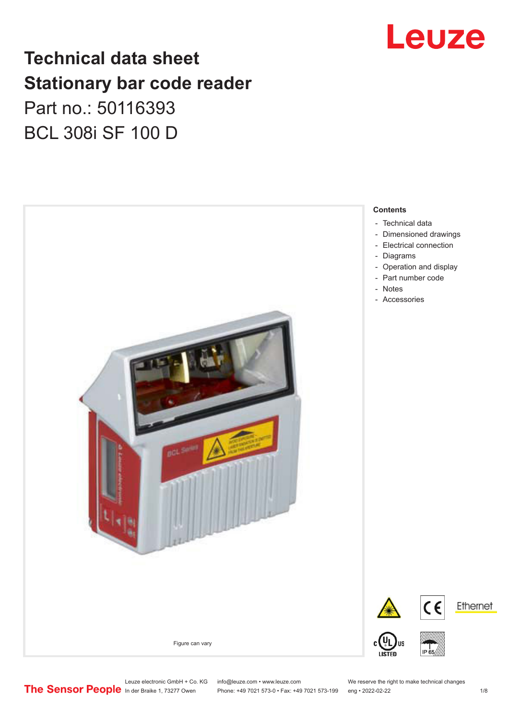# Leuze

### **Technical data sheet Stationary bar code reader** Part no.: 50116393 BCL 308i SF 100 D



Leuze electronic GmbH + Co. KG info@leuze.com • www.leuze.com We reserve the right to make technical changes<br>
The Sensor People in der Braike 1, 73277 Owen Phone: +49 7021 573-0 • Fax: +49 7021 573-199 eng • 2022-02-22

Phone: +49 7021 573-0 • Fax: +49 7021 573-199 eng • 2022-02-22 1 2022-02-22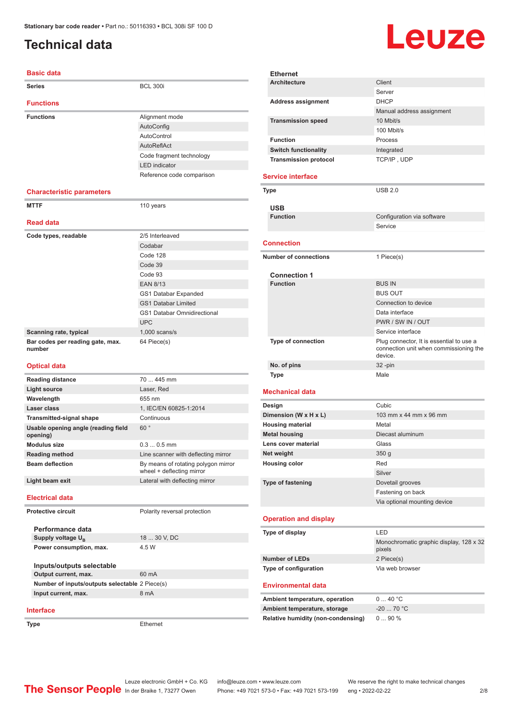### <span id="page-1-0"></span>**Technical data**

# Leuze

| <b>Basic data</b>                               |                                                                  |
|-------------------------------------------------|------------------------------------------------------------------|
| <b>Series</b>                                   | <b>BCL 300i</b>                                                  |
| <b>Functions</b>                                |                                                                  |
| <b>Functions</b>                                | Alignment mode                                                   |
|                                                 | AutoConfig                                                       |
|                                                 | <b>AutoControl</b>                                               |
|                                                 | AutoReflAct                                                      |
|                                                 | Code fragment technology                                         |
|                                                 | <b>LED</b> indicator                                             |
|                                                 | Reference code comparison                                        |
| <b>Characteristic parameters</b>                |                                                                  |
| <b>MTTF</b>                                     | 110 years                                                        |
| <b>Read data</b>                                |                                                                  |
|                                                 |                                                                  |
| Code types, readable                            | 2/5 Interleaved                                                  |
|                                                 | Codabar<br>Code 128                                              |
|                                                 |                                                                  |
|                                                 | Code 39<br>Code 93                                               |
|                                                 | <b>EAN 8/13</b>                                                  |
|                                                 | GS1 Databar Expanded                                             |
|                                                 | <b>GS1 Databar Limited</b>                                       |
|                                                 | <b>GS1 Databar Omnidirectional</b>                               |
|                                                 | <b>UPC</b>                                                       |
| Scanning rate, typical                          | $1,000$ scans/s                                                  |
| Bar codes per reading gate, max.                | 64 Piece(s)                                                      |
| number                                          |                                                                  |
|                                                 |                                                                  |
| <b>Optical data</b>                             |                                                                  |
| <b>Reading distance</b>                         | 70  445 mm                                                       |
| <b>Light source</b>                             | Laser, Red                                                       |
| Wavelength                                      | 655 nm                                                           |
| Laser class                                     | 1, IEC/EN 60825-1:2014                                           |
| <b>Transmitted-signal shape</b>                 | Continuous                                                       |
| Usable opening angle (reading field<br>opening) | 60°                                                              |
| <b>Modulus size</b>                             | $0.30.5$ mm                                                      |
| <b>Reading method</b>                           | Line scanner with deflecting mirror                              |
| <b>Beam deflection</b>                          | By means of rotating polygon mirror<br>wheel + deflecting mirror |
| Light beam exit                                 | Lateral with deflecting mirror                                   |
| <b>Electrical data</b>                          |                                                                  |
| <b>Protective circuit</b>                       | Polarity reversal protection                                     |
| Performance data                                |                                                                  |
| Supply voltage U <sub>B</sub>                   | 18  30 V, DC                                                     |

**Operation and display Environmental data**

#### **Interface**

Phone: +49 7021 573-0 • Fax: +49 7021 573-199 eng • 2022-02-22 2 2/8

**Relative humidity (non-condensing)** 0 ... 90 %

Leuze electronic GmbH + Co. KG info@leuze.com • www.leuze.com We reserve the right to make technical changes<br>
The Sensor People in der Braike 1, 73277 Owen Phone: +49 7021 573-0 • Fax: +49 7021 573-199 eng • 2022-02-22

| Output current, max.                           | 60 mA    |
|------------------------------------------------|----------|
| Number of inputs/outputs selectable 2 Piece(s) |          |
| Input current, max.                            | 8 mA     |
| Interface                                      |          |
| <b>Type</b>                                    | Ethernet |

**Power consumption, max.** 4.5 W

**Inputs/outputs selectable**

|                              |                           | Service                                                                                      |
|------------------------------|---------------------------|----------------------------------------------------------------------------------------------|
|                              | <b>Connection</b>         |                                                                                              |
| <b>Number of connections</b> |                           | 1 Piece(s)                                                                                   |
|                              | <b>Connection 1</b>       |                                                                                              |
|                              | <b>Function</b>           | <b>BUS IN</b>                                                                                |
|                              |                           | <b>BUS OUT</b>                                                                               |
|                              |                           | Connection to device                                                                         |
|                              |                           | Data interface                                                                               |
|                              |                           | PWR / SW IN / OUT                                                                            |
|                              |                           | Service interface                                                                            |
|                              | <b>Type of connection</b> | Plug connector, It is essential to use a<br>connection unit when commissioning the<br>device |
|                              | No. of pins               | $32 - pin$                                                                                   |
|                              | <b>Type</b>               | Male                                                                                         |
|                              | <b>Mechanical data</b>    |                                                                                              |
|                              | Design                    | Cubic                                                                                        |
|                              | Dimension (W x H x L)     | 103 mm x 44 mm x 96 mm                                                                       |
|                              | <b>Housing material</b>   | Metal                                                                                        |
|                              | <b>Metal housing</b>      | Diecast aluminum                                                                             |
|                              | Lens cover material       | Glass                                                                                        |
|                              | Net weight                | 350 <sub>g</sub>                                                                             |
|                              | <b>Housing color</b>      | Red                                                                                          |
|                              |                           | Silver                                                                                       |
|                              | <b>Type of fastening</b>  | Dovetail grooves                                                                             |

### **Mechanical data**

**Ethernet**

**Service interface**

**USB**

**Architecture** Client

Address assignment **DHCP** 

**Transmission speed** 10 Mbit/s

**Function** Process **Switch functionality Integrated Transmission protocol** TCP/IP, UDP

**Type** USB 2.0

Server

100 Mbit/s

Manual address assignment

**Configuration** via software

| Design                   | Cubic                        |
|--------------------------|------------------------------|
| Dimension (W x H x L)    | 103 mm x 44 mm x 96 mm       |
| <b>Housing material</b>  | Metal                        |
| <b>Metal housing</b>     | Diecast aluminum             |
| Lens cover material      | Glass                        |
| Net weight               | 350q                         |
| <b>Housing color</b>     | Red                          |
|                          | Silver                       |
| <b>Type of fastening</b> | Dovetail grooves             |
|                          | Fastening on back            |
|                          | Via optional mounting device |

| Type of display                | LED                                               |
|--------------------------------|---------------------------------------------------|
|                                | Monochromatic graphic display, 128 x 32<br>pixels |
| <b>Number of LEDs</b>          | 2 Piece(s)                                        |
| Type of configuration          | Via web browser                                   |
| <b>Environmental data</b>      |                                                   |
| Ambient temperature, operation | 040 °C                                            |
| Ambient temperature, storage   | $-20$ 70 °C                                       |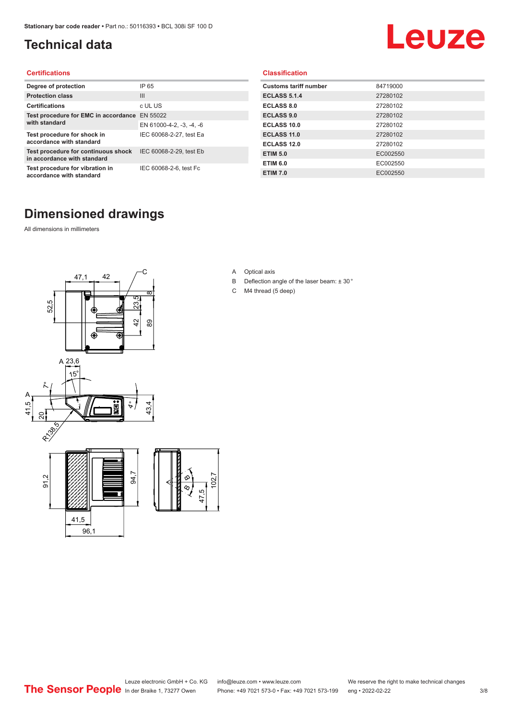### <span id="page-2-0"></span>**Technical data**

# Leuze

#### **Certifications**

| Degree of protection                                               | IP 65                    |
|--------------------------------------------------------------------|--------------------------|
| <b>Protection class</b>                                            | Ш                        |
| <b>Certifications</b>                                              | c UL US                  |
| Test procedure for EMC in accordance EN 55022                      |                          |
| with standard                                                      | EN 61000-4-2, -3, -4, -6 |
| Test procedure for shock in<br>accordance with standard            | IEC 60068-2-27, test Ea  |
| Test procedure for continuous shock<br>in accordance with standard | IEC 60068-2-29, test Eb  |
| Test procedure for vibration in<br>accordance with standard        | IEC 60068-2-6, test Fc   |

#### **Classification**

| <b>Customs tariff number</b> | 84719000 |
|------------------------------|----------|
| <b>ECLASS 5.1.4</b>          | 27280102 |
| <b>ECLASS 8.0</b>            | 27280102 |
| <b>ECLASS 9.0</b>            | 27280102 |
| <b>ECLASS 10.0</b>           | 27280102 |
| <b>ECLASS 11.0</b>           | 27280102 |
| ECLASS 12.0                  | 27280102 |
| <b>ETIM 5.0</b>              | EC002550 |
| <b>ETIM 6.0</b>              | EC002550 |
| <b>ETIM 7.0</b>              | EC002550 |

### **Dimensioned drawings**

All dimensions in millimeters



- A Optical axis
- B Deflection angle of the laser beam: ± 30 °
- C M4 thread (5 deep)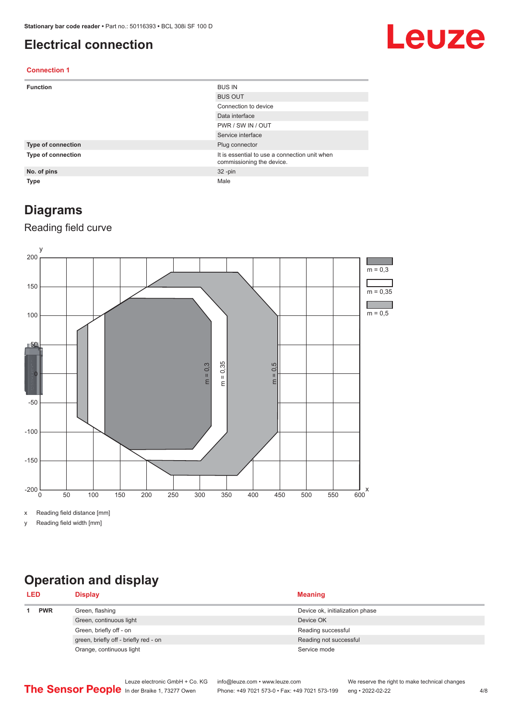### <span id="page-3-0"></span>**Electrical connection**

# Leuze

#### **Connection 1**

| <b>Function</b>    | <b>BUS IN</b>                                                              |
|--------------------|----------------------------------------------------------------------------|
|                    | <b>BUS OUT</b>                                                             |
|                    | Connection to device                                                       |
|                    | Data interface                                                             |
|                    | PWR / SW IN / OUT                                                          |
|                    | Service interface                                                          |
| Type of connection | Plug connector                                                             |
| Type of connection | It is essential to use a connection unit when<br>commissioning the device. |
| No. of pins        | $32 - pin$                                                                 |
| <b>Type</b>        | Male                                                                       |

### **Diagrams**

#### Reading field curve



x Reading field distance [mm]

y Reading field width [mm]

### **Operation and display**

| <b>LED</b> |            | <b>Display</b>                        | <b>Meaning</b>                  |
|------------|------------|---------------------------------------|---------------------------------|
|            | <b>PWR</b> | Green, flashing                       | Device ok, initialization phase |
|            |            | Green, continuous light               | Device OK                       |
|            |            | Green, briefly off - on               | Reading successful              |
|            |            | green, briefly off - briefly red - on | Reading not successful          |
|            |            | Orange, continuous light              | Service mode                    |
|            |            |                                       |                                 |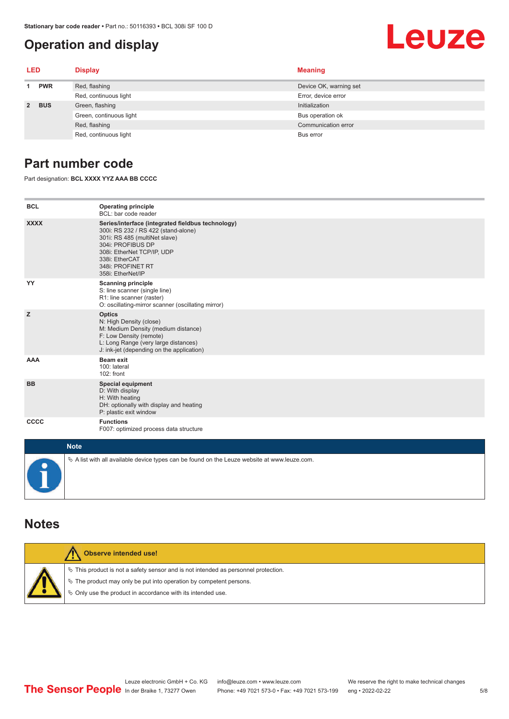### <span id="page-4-0"></span>**Operation and display**

# Leuze

| LED         |            | <b>Display</b>          | <b>Meaning</b>         |
|-------------|------------|-------------------------|------------------------|
|             | <b>PWR</b> | Red, flashing           | Device OK, warning set |
|             |            | Red, continuous light   | Error, device error    |
| $2^{\circ}$ | <b>BUS</b> | Green, flashing         | Initialization         |
|             |            | Green, continuous light | Bus operation ok       |
|             |            | Red, flashing           | Communication error    |
|             |            | Red, continuous light   | Bus error              |

### **Part number code**

Part designation: **BCL XXXX YYZ AAA BB CCCC**

| <b>BCL</b>  | <b>Operating principle</b><br>BCL: bar code reader                                                                                                                                                                                       |
|-------------|------------------------------------------------------------------------------------------------------------------------------------------------------------------------------------------------------------------------------------------|
| <b>XXXX</b> | Series/interface (integrated fieldbus technology)<br>300i: RS 232 / RS 422 (stand-alone)<br>301i: RS 485 (multiNet slave)<br>304i: PROFIBUS DP<br>308i: EtherNet TCP/IP, UDP<br>338i: EtherCAT<br>348i: PROFINET RT<br>358i: EtherNet/IP |
| YY          | <b>Scanning principle</b><br>S: line scanner (single line)<br>R1: line scanner (raster)<br>O: oscillating-mirror scanner (oscillating mirror)                                                                                            |
| z           | <b>Optics</b><br>N: High Density (close)<br>M: Medium Density (medium distance)<br>F: Low Density (remote)<br>L: Long Range (very large distances)<br>J: ink-jet (depending on the application)                                          |
| <b>AAA</b>  | <b>Beam exit</b><br>100: lateral<br>102: front                                                                                                                                                                                           |
| <b>BB</b>   | <b>Special equipment</b><br>D: With display<br>H: With heating<br>DH: optionally with display and heating<br>P: plastic exit window                                                                                                      |
| <b>CCCC</b> | <b>Functions</b><br>F007: optimized process data structure                                                                                                                                                                               |
|             |                                                                                                                                                                                                                                          |

| <b>Note</b>                                                                                       |
|---------------------------------------------------------------------------------------------------|
| Vector A list with all available device types can be found on the Leuze website at www.leuze.com. |

#### **Notes**

| Observe intended use!                                                                                                                                                                                                      |  |  |  |  |  |  |
|----------------------------------------------------------------------------------------------------------------------------------------------------------------------------------------------------------------------------|--|--|--|--|--|--|
| $\%$ This product is not a safety sensor and is not intended as personnel protection.<br>↓ The product may only be put into operation by competent persons.<br>♦ Only use the product in accordance with its intended use. |  |  |  |  |  |  |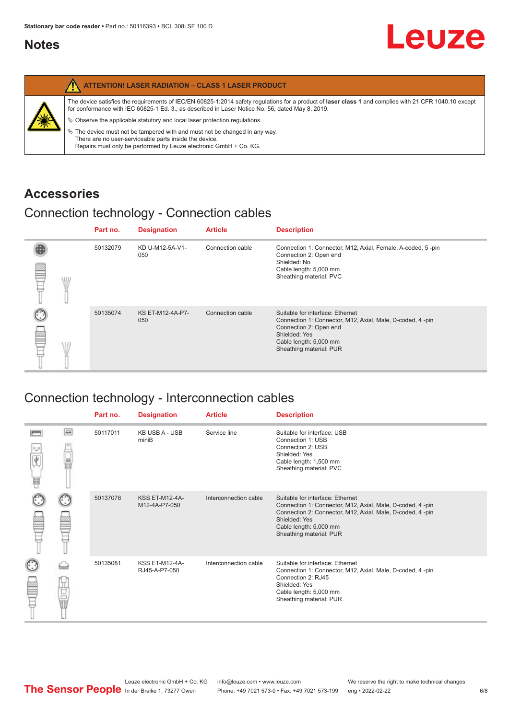### <span id="page-5-0"></span>**Notes**

|   | <b>ATTENTION! LASER RADIATION - CLASS 1 LASER PRODUCT</b>                                                                                                                                                                                                                                                                                                                                                                                                                                                                                                   |
|---|-------------------------------------------------------------------------------------------------------------------------------------------------------------------------------------------------------------------------------------------------------------------------------------------------------------------------------------------------------------------------------------------------------------------------------------------------------------------------------------------------------------------------------------------------------------|
| 纂 | The device satisfies the requirements of IEC/EN 60825-1:2014 safety requlations for a product of laser class 1 and complies with 21 CFR 1040.10 except<br>for conformance with IEC 60825-1 Ed. 3., as described in Laser Notice No. 56, dated May 8, 2019.<br>$\&$ Observe the applicable statutory and local laser protection regulations.<br>$\%$ The device must not be tampered with and must not be changed in any way.<br>There are no user-serviceable parts inside the device.<br>Repairs must only be performed by Leuze electronic GmbH + Co. KG. |
|   |                                                                                                                                                                                                                                                                                                                                                                                                                                                                                                                                                             |

### **Accessories**

### Connection technology - Connection cables

|   |   | Part no. | <b>Designation</b>             | <b>Article</b>   | <b>Description</b>                                                                                                                                                                            |
|---|---|----------|--------------------------------|------------------|-----------------------------------------------------------------------------------------------------------------------------------------------------------------------------------------------|
| ≝ | W | 50132079 | KD U-M12-5A-V1-<br>050         | Connection cable | Connection 1: Connector, M12, Axial, Female, A-coded, 5-pin<br>Connection 2: Open end<br>Shielded: No<br>Cable length: 5,000 mm<br>Sheathing material: PVC                                    |
|   |   | 50135074 | <b>KS ET-M12-4A-P7-</b><br>050 | Connection cable | Suitable for interface: Ethernet<br>Connection 1: Connector, M12, Axial, Male, D-coded, 4-pin<br>Connection 2: Open end<br>Shielded: Yes<br>Cable length: 5,000 mm<br>Sheathing material: PUR |

### Connection technology - Interconnection cables

|                           |                                                                                                                                                                                                                                | Part no. | <b>Designation</b>                     | <b>Article</b>        | <b>Description</b>                                                                                                                                                                                                               |
|---------------------------|--------------------------------------------------------------------------------------------------------------------------------------------------------------------------------------------------------------------------------|----------|----------------------------------------|-----------------------|----------------------------------------------------------------------------------------------------------------------------------------------------------------------------------------------------------------------------------|
| $\frac{1}{\sqrt{2}}$<br>Ħ | $\Box$                                                                                                                                                                                                                         | 50117011 | <b>KB USB A - USB</b><br>miniB         | Service line          | Suitable for interface: USB<br>Connection 1: USB<br>Connection 2: USB<br>Shielded: Yes<br>Cable length: 1,500 mm<br>Sheathing material: PVC                                                                                      |
|                           |                                                                                                                                                                                                                                | 50137078 | <b>KSS ET-M12-4A-</b><br>M12-4A-P7-050 | Interconnection cable | Suitable for interface: Ethernet<br>Connection 1: Connector, M12, Axial, Male, D-coded, 4-pin<br>Connection 2: Connector, M12, Axial, Male, D-coded, 4-pin<br>Shielded: Yes<br>Cable length: 5,000 mm<br>Sheathing material: PUR |
|                           | the filled the control in the control in the control in the control in the control in the control in the control in the control in the control in the control in the control in the control in the control in the control in t | 50135081 | <b>KSS ET-M12-4A-</b><br>RJ45-A-P7-050 | Interconnection cable | Suitable for interface: Ethernet<br>Connection 1: Connector, M12, Axial, Male, D-coded, 4-pin<br>Connection 2: RJ45<br>Shielded: Yes<br>Cable length: 5,000 mm<br>Sheathing material: PUR                                        |

Leuze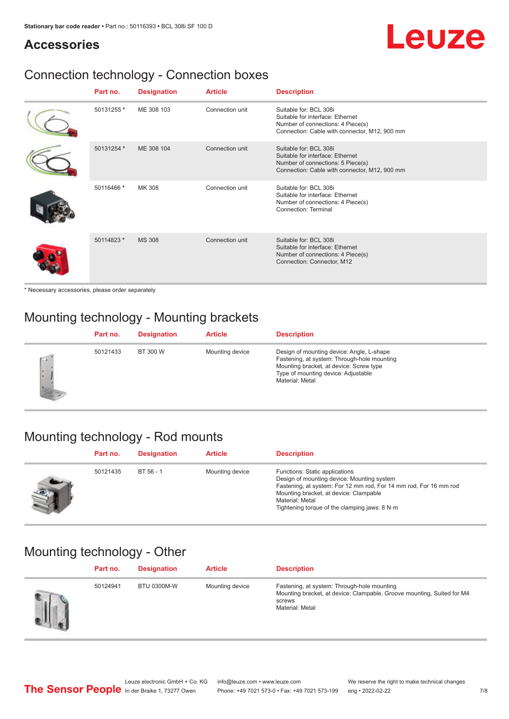# Leuze

### **Accessories**

### Connection technology - Connection boxes

| Part no.   | <b>Designation</b> | <b>Article</b>  | <b>Description</b>                                                                                                                               |
|------------|--------------------|-----------------|--------------------------------------------------------------------------------------------------------------------------------------------------|
| 50131255 * | ME 308 103         | Connection unit | Suitable for: BCL 308i<br>Suitable for interface: Ethernet<br>Number of connections: 4 Piece(s)<br>Connection: Cable with connector, M12, 900 mm |
| 50131254 * | ME 308 104         | Connection unit | Suitable for: BCL 308i<br>Suitable for interface: Ethernet<br>Number of connections: 5 Piece(s)<br>Connection: Cable with connector, M12, 900 mm |
| 50116466 * | MK 308             | Connection unit | Suitable for: BCL 308i<br>Suitable for interface: Ethernet<br>Number of connections: 4 Piece(s)<br>Connection: Terminal                          |
| 50114823 * | <b>MS 308</b>      | Connection unit | Suitable for: BCL 308i<br>Suitable for interface: Ethernet<br>Number of connections: 4 Piece(s)<br>Connection: Connector, M12                    |

\* Necessary accessories, please order separately

### Mounting technology - Mounting brackets

|        | Part no. | <b>Designation</b> | <b>Article</b>  | <b>Description</b>                                                                                                                                                                            |
|--------|----------|--------------------|-----------------|-----------------------------------------------------------------------------------------------------------------------------------------------------------------------------------------------|
| $\sim$ | 50121433 | BT 300 W           | Mounting device | Design of mounting device: Angle, L-shape<br>Fastening, at system: Through-hole mounting<br>Mounting bracket, at device: Screw type<br>Type of mounting device: Adjustable<br>Material: Metal |

### Mounting technology - Rod mounts

| Part no. | <b>Designation</b> | <b>Article</b>  | <b>Description</b>                                                                                                                                                                                                                                                |
|----------|--------------------|-----------------|-------------------------------------------------------------------------------------------------------------------------------------------------------------------------------------------------------------------------------------------------------------------|
| 50121435 | $BT 56 - 1$        | Mounting device | Functions: Static applications<br>Design of mounting device: Mounting system<br>Fastening, at system: For 12 mm rod, For 14 mm rod, For 16 mm rod<br>Mounting bracket, at device: Clampable<br>Material: Metal<br>Tightening torque of the clamping jaws: $8 N·m$ |

### Mounting technology - Other

| Part no. | <b>Designation</b> | <b>Article</b>  | <b>Description</b>                                                                                                                                 |
|----------|--------------------|-----------------|----------------------------------------------------------------------------------------------------------------------------------------------------|
| 50124941 | <b>BTU 0300M-W</b> | Mounting device | Fastening, at system: Through-hole mounting<br>Mounting bracket, at device: Clampable, Groove mounting, Suited for M4<br>screws<br>Material: Metal |